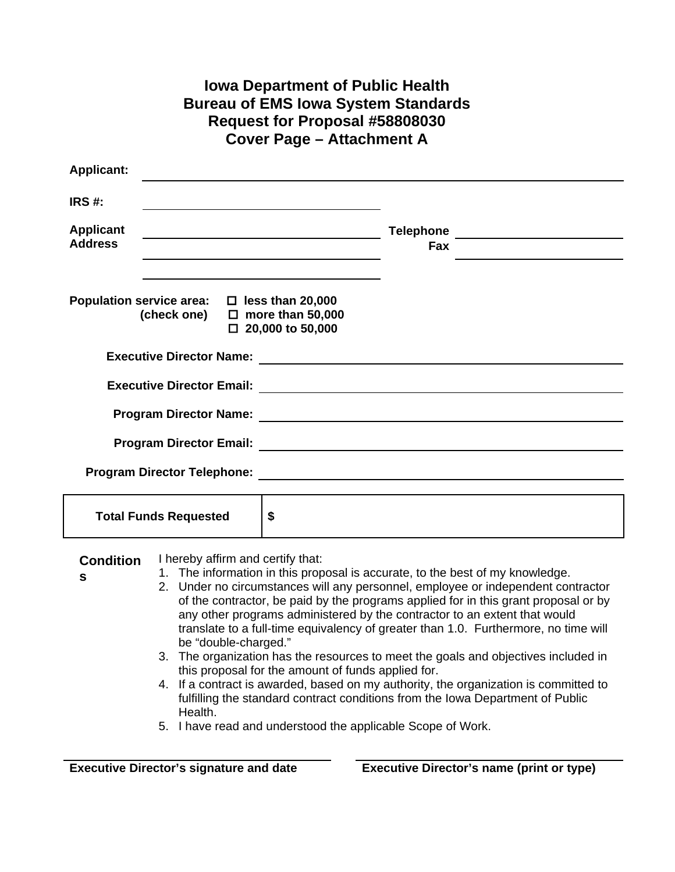| <b>Iowa Department of Public Health</b><br><b>Bureau of EMS lowa System Standards</b><br>Request for Proposal #58808030<br><b>Cover Page - Attachment A</b> |                                                                                                                                                                                                                                                                                                                                                                                                                                                                                                                                                                                                                                                                                                                                                                                                                   |  |  |
|-------------------------------------------------------------------------------------------------------------------------------------------------------------|-------------------------------------------------------------------------------------------------------------------------------------------------------------------------------------------------------------------------------------------------------------------------------------------------------------------------------------------------------------------------------------------------------------------------------------------------------------------------------------------------------------------------------------------------------------------------------------------------------------------------------------------------------------------------------------------------------------------------------------------------------------------------------------------------------------------|--|--|
| <b>Applicant:</b>                                                                                                                                           |                                                                                                                                                                                                                                                                                                                                                                                                                                                                                                                                                                                                                                                                                                                                                                                                                   |  |  |
| IRS#:                                                                                                                                                       |                                                                                                                                                                                                                                                                                                                                                                                                                                                                                                                                                                                                                                                                                                                                                                                                                   |  |  |
| <b>Applicant</b><br><b>Address</b>                                                                                                                          | <u> 1989 - Johann Stein, mars an t-Amerikaansk kommunister (</u><br>Fax<br><u> 1980 - Johann Barbara, martxa alemaniar amerikan a</u>                                                                                                                                                                                                                                                                                                                                                                                                                                                                                                                                                                                                                                                                             |  |  |
| Population service area: $\Box$ less than 20,000<br>(check one) $\Box$ more than 50,000                                                                     | $\Box$ 20,000 to 50,000                                                                                                                                                                                                                                                                                                                                                                                                                                                                                                                                                                                                                                                                                                                                                                                           |  |  |
|                                                                                                                                                             |                                                                                                                                                                                                                                                                                                                                                                                                                                                                                                                                                                                                                                                                                                                                                                                                                   |  |  |
|                                                                                                                                                             |                                                                                                                                                                                                                                                                                                                                                                                                                                                                                                                                                                                                                                                                                                                                                                                                                   |  |  |
|                                                                                                                                                             |                                                                                                                                                                                                                                                                                                                                                                                                                                                                                                                                                                                                                                                                                                                                                                                                                   |  |  |
|                                                                                                                                                             |                                                                                                                                                                                                                                                                                                                                                                                                                                                                                                                                                                                                                                                                                                                                                                                                                   |  |  |
|                                                                                                                                                             |                                                                                                                                                                                                                                                                                                                                                                                                                                                                                                                                                                                                                                                                                                                                                                                                                   |  |  |
|                                                                                                                                                             |                                                                                                                                                                                                                                                                                                                                                                                                                                                                                                                                                                                                                                                                                                                                                                                                                   |  |  |
| <b>Total Funds Requested</b>                                                                                                                                | \$                                                                                                                                                                                                                                                                                                                                                                                                                                                                                                                                                                                                                                                                                                                                                                                                                |  |  |
| I hereby affirm and certify that:<br><b>Condition</b><br>s<br>be "double-charged."<br>Health.                                                               | 1. The information in this proposal is accurate, to the best of my knowledge.<br>2. Under no circumstances will any personnel, employee or independent contractor<br>of the contractor, be paid by the programs applied for in this grant proposal or by<br>any other programs administered by the contractor to an extent that would<br>translate to a full-time equivalency of greater than 1.0. Furthermore, no time will<br>3. The organization has the resources to meet the goals and objectives included in<br>this proposal for the amount of funds applied for.<br>4. If a contract is awarded, based on my authority, the organization is committed to<br>fulfilling the standard contract conditions from the Iowa Department of Public<br>5. I have read and understood the applicable Scope of Work. |  |  |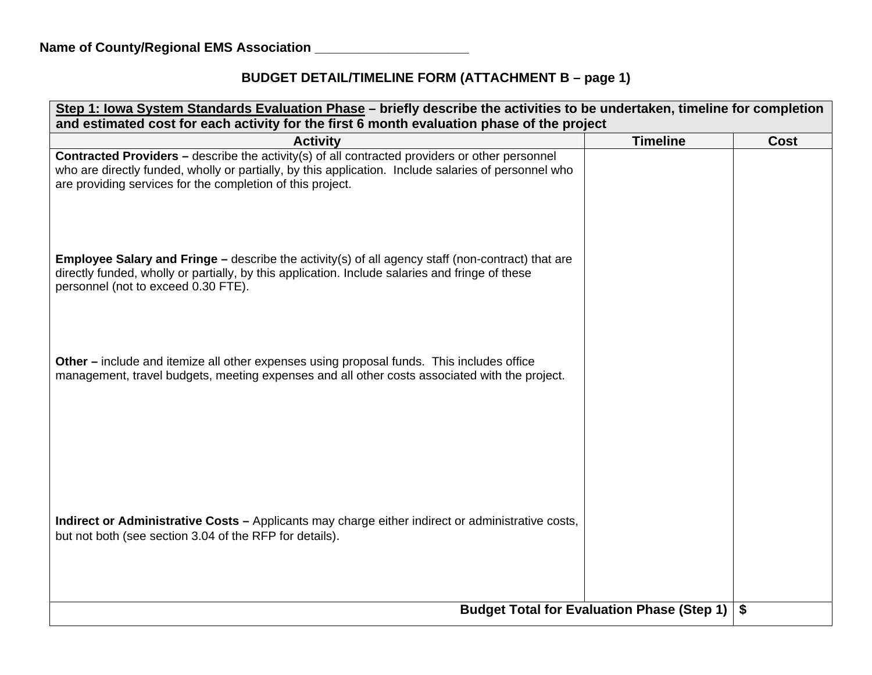## **BUDGET DETAIL/TIMELINE FORM (ATTACHMENT B – page 1)**

| Step 1: Iowa System Standards Evaluation Phase - briefly describe the activities to be undertaken, timeline for completion<br>and estimated cost for each activity for the first 6 month evaluation phase of the project                                                    |                 |             |  |
|-----------------------------------------------------------------------------------------------------------------------------------------------------------------------------------------------------------------------------------------------------------------------------|-----------------|-------------|--|
| <b>Activity</b>                                                                                                                                                                                                                                                             | <b>Timeline</b> | <b>Cost</b> |  |
| <b>Contracted Providers - describe the activity(s) of all contracted providers or other personnel</b><br>who are directly funded, wholly or partially, by this application. Include salaries of personnel who<br>are providing services for the completion of this project. |                 |             |  |
| <b>Employee Salary and Fringe - describe the activity(s) of all agency staff (non-contract) that are</b><br>directly funded, wholly or partially, by this application. Include salaries and fringe of these<br>personnel (not to exceed 0.30 FTE).                          |                 |             |  |
| Other – include and itemize all other expenses using proposal funds. This includes office<br>management, travel budgets, meeting expenses and all other costs associated with the project.                                                                                  |                 |             |  |
| Indirect or Administrative Costs - Applicants may charge either indirect or administrative costs,<br>but not both (see section 3.04 of the RFP for details).                                                                                                                |                 |             |  |
| <b>Budget Total for Evaluation Phase (Step 1)</b>                                                                                                                                                                                                                           |                 | \$          |  |